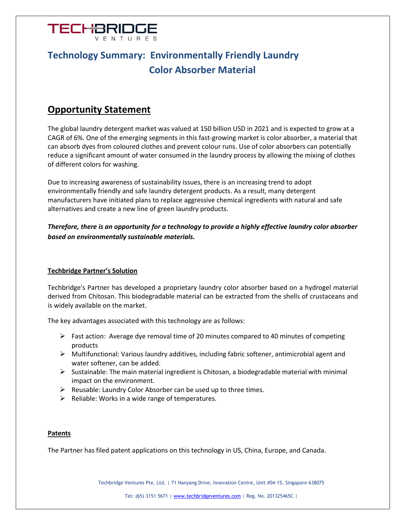

# **Technology Summary: Environmentally Friendly Laundry Color Absorber Material**

## **Opportunity Statement**

The global laundry detergent market was valued at 150 billion USD in 2021 and is expected to grow at a CAGR of 6%. One of the emerging segments in this fast-growing market is color absorber, a material that can absorb dyes from coloured clothes and prevent colour runs. Use of color absorbers can potentially reduce a significant amount of water consumed in the laundry process by allowing the mixing of clothes of different colors for washing.

Due to increasing awareness of sustainability issues, there is an increasing trend to adopt environmentally friendly and safe laundry detergent products. As a result, many detergent manufacturers have initiated plans to replace aggressive chemical ingredients with natural and safe alternatives and create a new line of green laundry products.

*Therefore, there is an opportunity for a technology to provide a highly effective laundry color absorber based on environmentally sustainable materials.*

### **Techbridge Partner's Solution**

Techbridge's Partner has developed a proprietary laundry color absorber based on a hydrogel material derived from Chitosan. This biodegradable material can be extracted from the shells of crustaceans and is widely available on the market.

The key advantages associated with this technology are as follows:

- $\triangleright$  Fast action: Average dye removal time of 20 minutes compared to 40 minutes of competing products
- ➢ Multifunctional: Various laundry additives, including fabric softener, antimicrobial agent and water softener, can be added.
- $\triangleright$  Sustainable: The main material ingredient is Chitosan, a biodegradable material with minimal impact on the environment.
- $\triangleright$  Reusable: Laundry Color Absorber can be used up to three times.
- $\triangleright$  Reliable: Works in a wide range of temperatures.

#### **Patents**

The Partner has filed patent applications on this technology in US, China, Europe, and Canada.

Techbridge Ventures Pte. Ltd. | 71 Nanyang Drive, Innovation Centre, Unit #04-15, Singapore 638075

Tel: (65) 3151 5671 | [www.techbridgeventures.com](http://www.techbridgeventures.com/) | Reg. No. 201325465C |